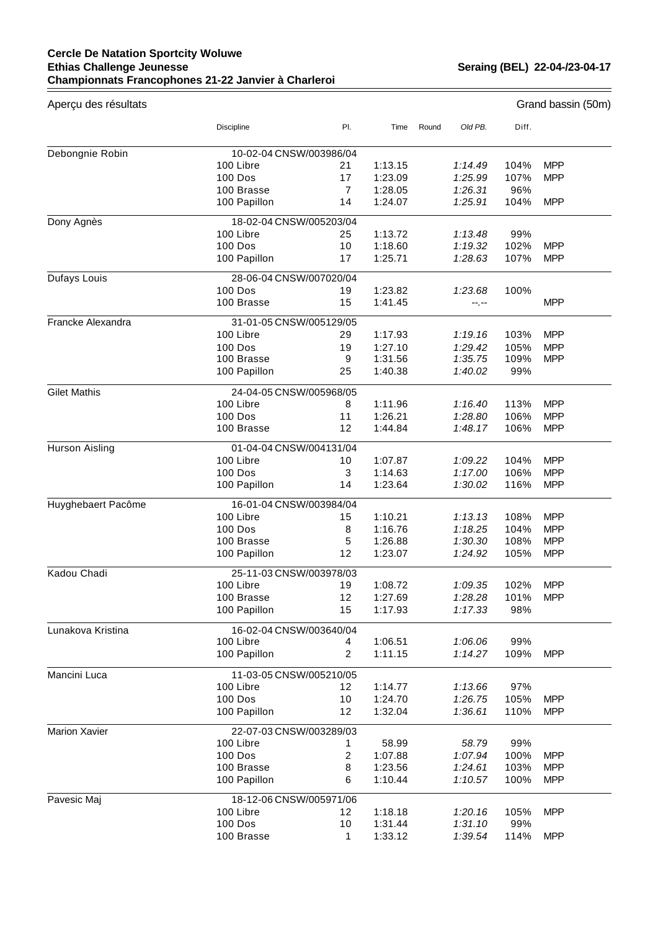## **Cercle De Natation Sportcity Woluwe Ethias Challenge Jeunesse Championnats Francophones 21-22 Janvier à Charleroi**

**Seraing (BEL) 22-04-/23-04-17** 

 $\equiv$ 

| Aperçu des résultats |                         |     |         |       |         |       | Grand bassin (50m) |  |  |
|----------------------|-------------------------|-----|---------|-------|---------|-------|--------------------|--|--|
|                      | <b>Discipline</b>       | PI. | Time    | Round | Old PB. | Diff. |                    |  |  |
| Debongnie Robin      | 10-02-04 CNSW/003986/04 |     |         |       |         |       |                    |  |  |
|                      | 100 Libre               | 21  | 1:13.15 |       | 1:14.49 | 104%  | <b>MPP</b>         |  |  |
|                      | <b>100 Dos</b>          | 17  | 1:23.09 |       | 1:25.99 | 107%  | <b>MPP</b>         |  |  |
|                      | 100 Brasse              | 7   | 1:28.05 |       | 1:26.31 | 96%   |                    |  |  |
|                      | 100 Papillon            | 14  | 1:24.07 |       | 1:25.91 | 104%  | <b>MPP</b>         |  |  |
| Dony Agnès           | 18-02-04 CNSW/005203/04 |     |         |       |         |       |                    |  |  |
|                      | 100 Libre               | 25  | 1:13.72 |       | 1:13.48 | 99%   |                    |  |  |
|                      | <b>100 Dos</b>          | 10  | 1:18.60 |       | 1:19.32 | 102%  | <b>MPP</b>         |  |  |
|                      | 100 Papillon            | 17  | 1:25.71 |       | 1:28.63 | 107%  | <b>MPP</b>         |  |  |
| Dufays Louis         | 28-06-04 CNSW/007020/04 |     |         |       |         |       |                    |  |  |
|                      | <b>100 Dos</b>          | 19  | 1:23.82 |       | 1:23.68 | 100%  |                    |  |  |
|                      | 100 Brasse              | 15  | 1:41.45 |       | --.--   |       | <b>MPP</b>         |  |  |
| Francke Alexandra    | 31-01-05 CNSW/005129/05 |     |         |       |         |       |                    |  |  |
|                      | 100 Libre               | 29  | 1:17.93 |       | 1:19.16 | 103%  | <b>MPP</b>         |  |  |
|                      | 100 Dos                 | 19  | 1:27.10 |       | 1:29.42 | 105%  | <b>MPP</b>         |  |  |
|                      | 100 Brasse              | 9   | 1:31.56 |       | 1:35.75 | 109%  | <b>MPP</b>         |  |  |
|                      | 100 Papillon            | 25  | 1:40.38 |       | 1:40.02 | 99%   |                    |  |  |
| <b>Gilet Mathis</b>  | 24-04-05 CNSW/005968/05 |     |         |       |         |       |                    |  |  |
|                      | 100 Libre               | 8   | 1:11.96 |       | 1:16.40 | 113%  | <b>MPP</b>         |  |  |
|                      | <b>100 Dos</b>          | 11  | 1:26.21 |       | 1:28.80 | 106%  | <b>MPP</b>         |  |  |
|                      | 100 Brasse              | 12  | 1:44.84 |       | 1:48.17 | 106%  | <b>MPP</b>         |  |  |
| Hurson Aisling       | 01-04-04 CNSW/004131/04 |     |         |       |         |       |                    |  |  |
|                      | 100 Libre               | 10  | 1:07.87 |       | 1:09.22 | 104%  | <b>MPP</b>         |  |  |
|                      | <b>100 Dos</b>          | 3   | 1:14.63 |       | 1:17.00 | 106%  | <b>MPP</b>         |  |  |
|                      | 100 Papillon            | 14  | 1:23.64 |       | 1:30.02 | 116%  | <b>MPP</b>         |  |  |
| Huyghebaert Pacôme   | 16-01-04 CNSW/003984/04 |     |         |       |         |       |                    |  |  |
|                      | 100 Libre               | 15  | 1:10.21 |       | 1:13.13 | 108%  | <b>MPP</b>         |  |  |
|                      | <b>100 Dos</b>          | 8   | 1:16.76 |       | 1:18.25 | 104%  | <b>MPP</b>         |  |  |
|                      | 100 Brasse              | 5   | 1:26.88 |       | 1:30.30 | 108%  | <b>MPP</b>         |  |  |
|                      | 100 Papillon            | 12  | 1:23.07 |       | 1:24.92 | 105%  | <b>MPP</b>         |  |  |
| Kadou Chadi          | 25-11-03 CNSW/003978/03 |     |         |       |         |       |                    |  |  |
|                      | 100 Libre               | 19  | 1:08.72 |       | 1:09.35 | 102%  | <b>MPP</b>         |  |  |
|                      | 100 Brasse              | 12  | 1:27.69 |       | 1:28.28 | 101%  | <b>MPP</b>         |  |  |
|                      | 100 Papillon            | 15  | 1:17.93 |       | 1:17.33 | 98%   |                    |  |  |
| Lunakova Kristina    | 16-02-04 CNSW/003640/04 |     |         |       |         |       |                    |  |  |
|                      | 100 Libre               | 4   | 1:06.51 |       | 1:06.06 | 99%   |                    |  |  |
|                      | 100 Papillon            | 2   | 1:11.15 |       | 1:14.27 | 109%  | <b>MPP</b>         |  |  |
| Mancini Luca         | 11-03-05 CNSW/005210/05 |     |         |       |         |       |                    |  |  |
|                      | 100 Libre               | 12  | 1:14.77 |       | 1:13.66 | 97%   |                    |  |  |
|                      | 100 Dos                 | 10  | 1:24.70 |       | 1:26.75 | 105%  | <b>MPP</b>         |  |  |
|                      | 100 Papillon            | 12  | 1:32.04 |       | 1:36.61 | 110%  | <b>MPP</b>         |  |  |
| <b>Marion Xavier</b> | 22-07-03 CNSW/003289/03 |     |         |       |         |       |                    |  |  |
|                      | 100 Libre               | 1.  | 58.99   |       | 58.79   | 99%   |                    |  |  |
|                      | 100 Dos                 | 2   | 1:07.88 |       | 1:07.94 | 100%  | <b>MPP</b>         |  |  |
|                      | 100 Brasse              | 8   | 1:23.56 |       | 1:24.61 | 103%  | <b>MPP</b>         |  |  |
|                      | 100 Papillon            | 6   | 1:10.44 |       | 1:10.57 | 100%  | <b>MPP</b>         |  |  |
| Pavesic Maj          | 18-12-06 CNSW/005971/06 |     |         |       |         |       |                    |  |  |
|                      | 100 Libre               | 12  | 1:18.18 |       | 1:20.16 | 105%  | <b>MPP</b>         |  |  |
|                      | 100 Dos                 | 10  | 1:31.44 |       | 1:31.10 | 99%   |                    |  |  |
|                      | 100 Brasse              | 1   | 1:33.12 |       | 1:39.54 | 114%  | <b>MPP</b>         |  |  |